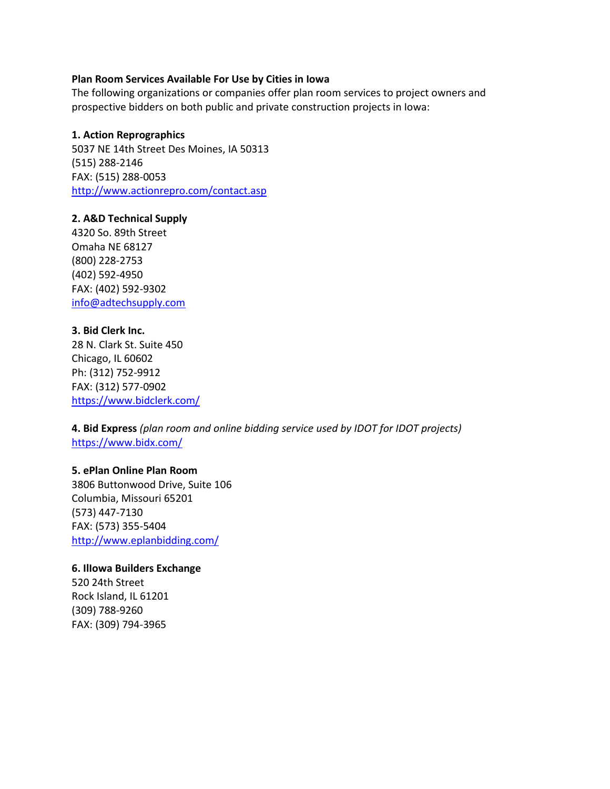### **Plan Room Services Available For Use by Cities in Iowa**

The following organizations or companies offer plan room services to project owners and prospective bidders on both public and private construction projects in Iowa:

### **1. Action Reprographics**

5037 NE 14th Street Des Moines, IA 50313 (515) 288-2146 FAX: (515) 288-0053 <http://www.actionrepro.com/contact.asp>

### **2. A&D Technical Supply**

4320 So. 89th Street Omaha NE 68127 (800) 228-2753 (402) 592-4950 FAX: (402) 592-9302 [info@adtechsupply.com](mailto:info@adtechsupply.com)

**3. Bid Clerk Inc.**  28 N. Clark St. Suite 450 Chicago, IL 60602 Ph: (312) 752-9912 FAX: (312) 577-0902 <https://www.bidclerk.com/>

**4. Bid Express** *(plan room and online bidding service used by IDOT for IDOT projects)*  <https://www.bidx.com/>

## **5. ePlan Online Plan Room**

3806 Buttonwood Drive, Suite 106 Columbia, Missouri 65201 (573) 447-7130 FAX: (573) 355-5404 <http://www.eplanbidding.com/>

#### **6. IlIowa Builders Exchange**

520 24th Street Rock Island, IL 61201 (309) 788-9260 FAX: (309) 794-3965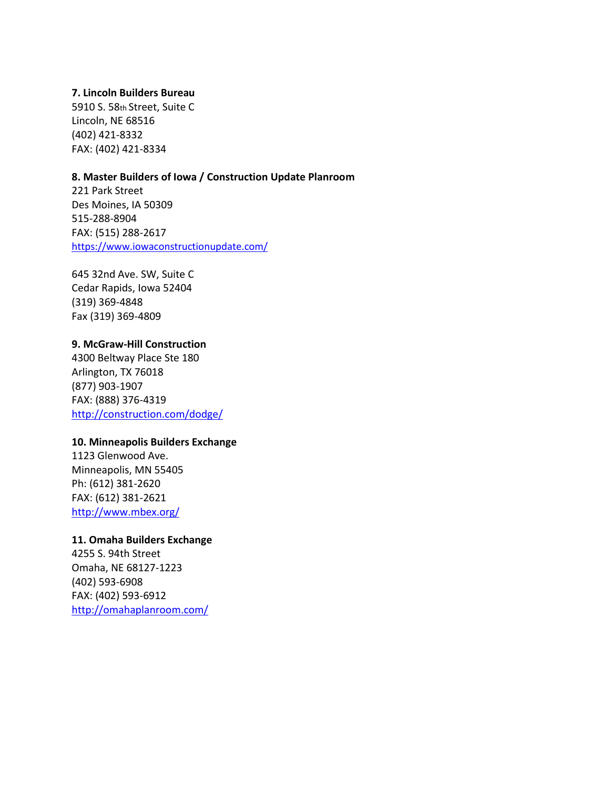## **7. Lincoln Builders Bureau**

5910 S. 58th Street, Suite C Lincoln, NE 68516 (402) 421-8332 FAX: (402) 421-8334

## **8. Master Builders of Iowa / Construction Update Planroom**

221 Park Street Des Moines, IA 50309 515-288-8904 FAX: (515) 288-2617 <https://www.iowaconstructionupdate.com/>

645 32nd Ave. SW, Suite C Cedar Rapids, Iowa 52404 (319) 369-4848 Fax (319) 369-4809

## **9. McGraw-Hill Construction**

4300 Beltway Place Ste 180 Arlington, TX 76018 (877) 903-1907 FAX: (888) 376-4319 <http://construction.com/dodge/>

### **10. Minneapolis Builders Exchange**

1123 Glenwood Ave. Minneapolis, MN 55405 Ph: (612) 381-2620 FAX: (612) 381-2621 <http://www.mbex.org/>

# **11. Omaha Builders Exchange**

4255 S. 94th Street Omaha, NE 68127-1223 (402) 593-6908 FAX: (402) 593-6912 <http://omahaplanroom.com/>